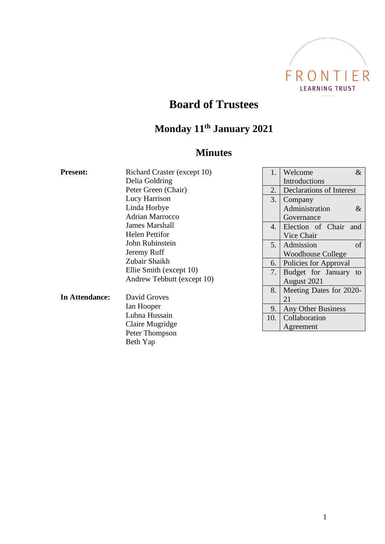

## **Board of Trustees**

# **Monday 11th January 2021**

### **Minutes**

| <b>Present:</b> | Richard Craster (except 10)  | 1.               | $\&$<br>Welcome                 |  |
|-----------------|------------------------------|------------------|---------------------------------|--|
|                 | Delia Goldring               |                  | Introductions                   |  |
|                 | Peter Green (Chair)          | 2.               | <b>Declarations of Interest</b> |  |
|                 | Lucy Harrison                | 3.               | Company                         |  |
|                 | Linda Horbye                 |                  | Administration<br>$\&$          |  |
|                 | <b>Adrian Marrocco</b>       |                  | Governance                      |  |
|                 | <b>James Marshall</b>        | $\overline{4}$ . | Election of Chair and           |  |
|                 | <b>Helen Pettifor</b>        |                  | Vice Chair                      |  |
|                 | John Rubinstein              | 5.               | of<br>Admission                 |  |
|                 | Jeremy Ruff<br>Zubair Shaikh |                  | <b>Woodhouse College</b>        |  |
|                 |                              | 6.               | Policies for Approval           |  |
|                 | Ellie Smith (except 10)      | 7.               | Budget for January to           |  |
|                 | Andrew Tebbutt (except 10)   |                  | August 2021                     |  |
|                 |                              | 8.               | Meeting Dates for 2020-         |  |
| In Attendance:  | David Groves                 |                  | 21                              |  |
|                 | Ian Hooper                   | 9.               | Any Other Business              |  |
|                 | Lubna Hussain                | 10.              | Collaboration                   |  |
|                 | Claire Mugridge              | Agreement        |                                 |  |
|                 | Peter Thompson               |                  |                                 |  |
|                 | Beth Yap                     |                  |                                 |  |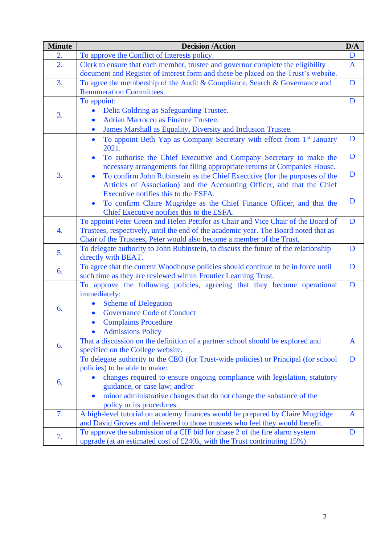| <b>Minute</b>    | <b>Decision /Action</b>                                                                                                                                                                                                                                                                                                                 | D/A          |
|------------------|-----------------------------------------------------------------------------------------------------------------------------------------------------------------------------------------------------------------------------------------------------------------------------------------------------------------------------------------|--------------|
| 2.               | To approve the Conflict of Interests policy.                                                                                                                                                                                                                                                                                            | D            |
| $\overline{2}$ . | Clerk to ensure that each member, trustee and governor complete the eligibility<br>document and Register of Interest form and these be placed on the Trust's website.                                                                                                                                                                   | $\mathbf{A}$ |
| 3.               | To agree the membership of the Audit & Compliance, Search & Governance and<br><b>Remuneration Committees.</b>                                                                                                                                                                                                                           | D            |
| 3.               | To appoint:<br>Delia Goldring as Safeguarding Trustee.<br>$\bullet$<br><b>Adrian Marrocco as Finance Trustee.</b><br>James Marshall as Equality, Diversity and Inclusion Trustee.                                                                                                                                                       | D            |
| 3.               | To appoint Beth Yap as Company Secretary with effect from 1 <sup>st</sup> January<br>$\bullet$<br>2021.                                                                                                                                                                                                                                 | D<br>D       |
|                  | To authorise the Chief Executive and Company Secretary to make the<br>$\bullet$<br>necessary arrangements for filing appropriate returns at Companies House.<br>To confirm John Rubinstein as the Chief Executive (for the purposes of the<br>$\bullet$<br>Articles of Association) and the Accounting Officer, and that the Chief      | D            |
|                  | Executive notifies this to the ESFA.<br>To confirm Claire Mugridge as the Chief Finance Officer, and that the<br>$\bullet$<br>Chief Executive notifies this to the ESFA.                                                                                                                                                                | D            |
| 4.               | To appoint Peter Green and Helen Pettifor as Chair and Vice Chair of the Board of<br>Trustees, respectively, until the end of the academic year. The Board noted that as<br>Chair of the Trustees, Peter would also become a member of the Trust.                                                                                       | D            |
| 5.               | To delegate authority to John Rubinstein, to discuss the future of the relationship<br>directly with BEAT.                                                                                                                                                                                                                              | D            |
| 6.               | To agree that the current Woodhouse policies should continue to be in force until<br>such time as they are reviewed within Frontier Learning Trust.                                                                                                                                                                                     | D            |
| 6.               | To approve the following policies, agreeing that they become operational<br>immediately:<br><b>Scheme of Delegation</b><br>$\bullet$<br><b>Governance Code of Conduct</b><br>$\bullet$<br><b>Complaints Procedure</b><br><b>Admissions Policy</b>                                                                                       | D            |
| 6.               | That a discussion on the definition of a partner school should be explored and<br>specified on the College website.                                                                                                                                                                                                                     | A            |
| 6,               | To delegate authority to the CEO (for Trust-wide policies) or Principal (for school<br>policies) to be able to make:<br>changes required to ensure ongoing compliance with legislation, statutory<br>guidance, or case law; and/or<br>minor administrative changes that do not change the substance of the<br>policy or its procedures. | D            |
| 7.               | A high-level tutorial on academy finances would be prepared by Claire Mugridge<br>and David Groves and delivered to those trustees who feel they would benefit.                                                                                                                                                                         | $\mathbf{A}$ |
| 7.               | To approve the submission of a CIF bid for phase 2 of the fire alarm system<br>upgrade (at an estimated cost of £240k, with the Trust contrinuting 15%)                                                                                                                                                                                 | D            |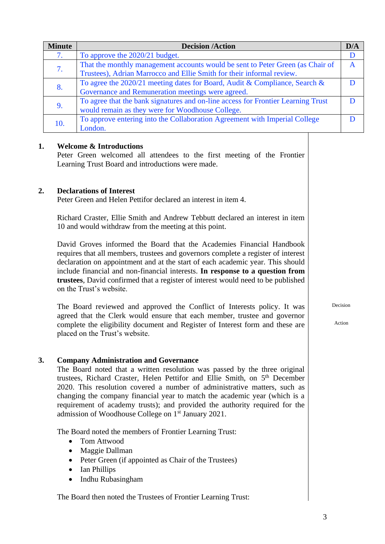| <b>Minute</b> | <b>Decision /Action</b>                                                          |  |
|---------------|----------------------------------------------------------------------------------|--|
| 7.            | To approve the 2020/21 budget.                                                   |  |
| 7.            | That the monthly management accounts would be sent to Peter Green (as Chair of   |  |
|               | Trustees), Adrian Marrocco and Ellie Smith for their informal review.            |  |
| 8.            | To agree the 2020/21 meeting dates for Board, Audit & Compliance, Search &       |  |
|               | Governance and Remuneration meetings were agreed.                                |  |
|               | To agree that the bank signatures and on-line access for Frontier Learning Trust |  |
|               | would remain as they were for Woodhouse College.                                 |  |
| 10.           | To approve entering into the Collaboration Agreement with Imperial College       |  |
|               | London.                                                                          |  |

#### **1. Welcome & Introductions**

Peter Green welcomed all attendees to the first meeting of the Frontier Learning Trust Board and introductions were made.

#### **2. Declarations of Interest**

Peter Green and Helen Pettifor declared an interest in item 4.

Richard Craster, Ellie Smith and Andrew Tebbutt declared an interest in item 10 and would withdraw from the meeting at this point.

David Groves informed the Board that the Academies Financial Handbook requires that all members, trustees and governors complete a register of interest declaration on appointment and at the start of each academic year. This should include financial and non-financial interests. **In response to a question from trustees**, David confirmed that a register of interest would need to be published on the Trust's website.

The Board reviewed and approved the Conflict of Interests policy. It was agreed that the Clerk would ensure that each member, trustee and governor complete the eligibility document and Register of Interest form and these are placed on the Trust's website.

#### **3. Company Administration and Governance**

The Board noted that a written resolution was passed by the three original trustees, Richard Craster, Helen Pettifor and Ellie Smith, on 5<sup>th</sup> December 2020. This resolution covered a number of administrative matters, such as changing the company financial year to match the academic year (which is a requirement of academy trusts); and provided the authority required for the admission of Woodhouse College on 1st January 2021.

The Board noted the members of Frontier Learning Trust:

- Tom Attwood
- Maggie Dallman
- Peter Green (if appointed as Chair of the Trustees)
- Ian Phillips
- Indhu Rubasingham

The Board then noted the Trustees of Frontier Learning Trust:

Decision

Action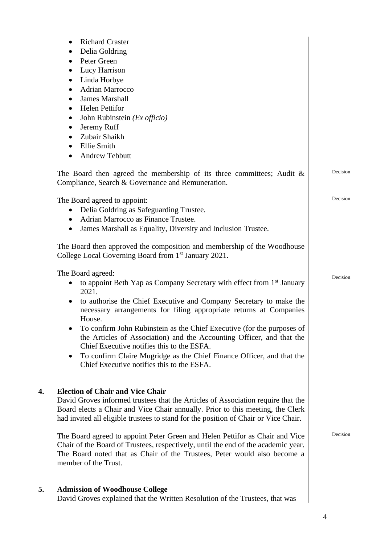|    | <b>Richard Craster</b><br>$\bullet$<br>Delia Goldring<br>$\bullet$<br>Peter Green<br>$\bullet$<br>Lucy Harrison<br>$\bullet$<br>Linda Horbye<br>$\bullet$<br>Adrian Marrocco<br>٠<br><b>James Marshall</b><br>$\bullet$<br><b>Helen Pettifor</b><br>$\bullet$<br>John Rubinstein (Ex officio)<br>$\bullet$<br>Jeremy Ruff<br>$\bullet$<br>Zubair Shaikh<br>$\bullet$<br>Ellie Smith<br>$\bullet$                                                                                                                                                                                                                             |          |
|----|------------------------------------------------------------------------------------------------------------------------------------------------------------------------------------------------------------------------------------------------------------------------------------------------------------------------------------------------------------------------------------------------------------------------------------------------------------------------------------------------------------------------------------------------------------------------------------------------------------------------------|----------|
|    | <b>Andrew Tebbutt</b>                                                                                                                                                                                                                                                                                                                                                                                                                                                                                                                                                                                                        |          |
|    | The Board then agreed the membership of its three committees; Audit $\&$<br>Compliance, Search & Governance and Remuneration.                                                                                                                                                                                                                                                                                                                                                                                                                                                                                                | Decision |
|    | The Board agreed to appoint:<br>Delia Goldring as Safeguarding Trustee.<br>$\bullet$<br>Adrian Marrocco as Finance Trustee.<br>$\bullet$<br>James Marshall as Equality, Diversity and Inclusion Trustee.<br>$\bullet$                                                                                                                                                                                                                                                                                                                                                                                                        | Decision |
|    | The Board then approved the composition and membership of the Woodhouse<br>College Local Governing Board from 1 <sup>st</sup> January 2021.                                                                                                                                                                                                                                                                                                                                                                                                                                                                                  |          |
|    | The Board agreed:<br>to appoint Beth Yap as Company Secretary with effect from 1 <sup>st</sup> January<br>2021.<br>to authorise the Chief Executive and Company Secretary to make the<br>$\bullet$<br>necessary arrangements for filing appropriate returns at Companies<br>House.<br>To confirm John Rubinstein as the Chief Executive (for the purposes of<br>٠<br>the Articles of Association) and the Accounting Officer, and that the<br>Chief Executive notifies this to the ESFA.<br>To confirm Claire Mugridge as the Chief Finance Officer, and that the<br>$\bullet$<br>Chief Executive notifies this to the ESFA. | Decision |
| 4. | <b>Election of Chair and Vice Chair</b><br>David Groves informed trustees that the Articles of Association require that the<br>Board elects a Chair and Vice Chair annually. Prior to this meeting, the Clerk<br>had invited all eligible trustees to stand for the position of Chair or Vice Chair.<br>The Board agreed to appoint Peter Green and Helen Pettifor as Chair and Vice<br>Chair of the Board of Trustees, respectively, until the end of the academic year.<br>The Board noted that as Chair of the Trustees, Peter would also become a<br>member of the Trust.                                                | Decision |
| 5. | <b>Admission of Woodhouse College</b><br>David Groves explained that the Written Resolution of the Trustees, that was                                                                                                                                                                                                                                                                                                                                                                                                                                                                                                        |          |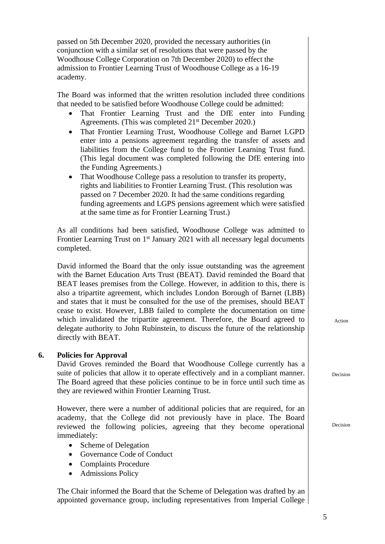passed on 5th December 2020, provided the necessary authorities (in conjunction with a similar set of resolutions that were passed by the Woodhouse College Corporation on 7th December 2020) to effect the admission to Frontier Learning Trust of Woodhouse College as a 16-19 academy.

The Board was informed that the written resolution included three conditions that needed to be satisfied before Woodhouse College could be admitted:

- That Frontier Learning Trust and the DfE enter into Funding Agreements. (This was completed 21<sup>st</sup> December 2020.)
- That Frontier Learning Trust, Woodhouse College and Barnet LGPD enter into a pensions agreement regarding the transfer of assets and liabilities from the College fund to the Frontier Learning Trust fund. (This legal document was completed following the DfE entering into the Funding Agreements.)
- That Woodhouse College pass a resolution to transfer its property, rights and liabilities to Frontier Learning Trust. (This resolution was passed on 7 December 2020. It had the same conditions regarding funding agreements and LGPS pensions agreement which were satisfied at the same time as for Frontier Learning Trust.)

As all conditions had been satisfied, Woodhouse College was admitted to Frontier Learning Trust on  $1<sup>st</sup>$  January 2021 with all necessary legal documents completed.

David informed the Board that the only issue outstanding was the agreement with the Barnet Education Arts Trust (BEAT). David reminded the Board that BEAT leases premises from the College. However, in addition to this, there is also a tripartite agreement, which includes London Borough of Barnet (LBB) and states that it must be consulted for the use of the premises, should BEAT cease to exist. However, LBB failed to complete the documentation on time which invalidated the tripartite agreement. Therefore, the Board agreed to delegate authority to John Rubinstein, to discuss the future of the relationship directly with BEAT.

#### **6. Policies for Approval**

David Groves reminded the Board that Woodhouse College currently has a suite of policies that allow it to operate effectively and in a compliant manner. The Board agreed that these policies continue to be in force until such time as they are reviewed within Frontier Learning Trust.

However, there were a number of additional policies that are required, for an academy, that the College did not previously have in place. The Board reviewed the following policies, agreeing that they become operational immediately:

- Scheme of Delegation
- Governance Code of Conduct
- Complaints Procedure
- Admissions Policy

The Chair informed the Board that the Scheme of Delegation was drafted by an appointed governance group, including representatives from Imperial College Action

Decision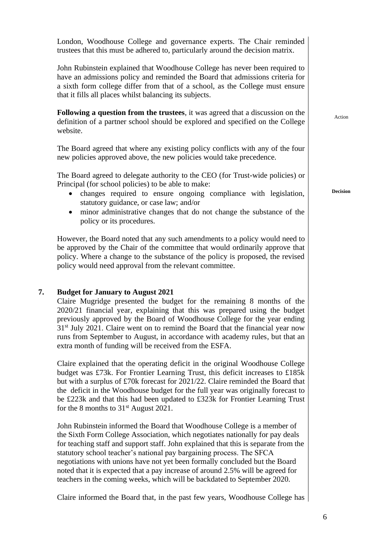London, Woodhouse College and governance experts. The Chair reminded trustees that this must be adhered to, particularly around the decision matrix. John Rubinstein explained that Woodhouse College has never been required to have an admissions policy and reminded the Board that admissions criteria for a sixth form college differ from that of a school, as the College must ensure that it fills all places whilst balancing its subjects. **Following a question from the trustees**, it was agreed that a discussion on the definition of a partner school should be explored and specified on the College website. Action The Board agreed that where any existing policy conflicts with any of the four new policies approved above, the new policies would take precedence. The Board agreed to delegate authority to the CEO (for Trust-wide policies) or Principal (for school policies) to be able to make: • changes required to ensure ongoing compliance with legislation, statutory guidance, or case law; and/or • minor administrative changes that do not change the substance of the policy or its procedures. **Decision** However, the Board noted that any such amendments to a policy would need to be approved by the Chair of the committee that would ordinarily approve that policy. Where a change to the substance of the policy is proposed, the revised policy would need approval from the relevant committee. **7. Budget for January to August 2021** Claire Mugridge presented the budget for the remaining 8 months of the 2020/21 financial year, explaining that this was prepared using the budget previously approved by the Board of Woodhouse College for the year ending  $31<sup>st</sup>$  July 2021. Claire went on to remind the Board that the financial year now runs from September to August, in accordance with academy rules, but that an extra month of funding will be received from the ESFA. Claire explained that the operating deficit in the original Woodhouse College budget was £73k. For Frontier Learning Trust, this deficit increases to £185k but with a surplus of £70k forecast for 2021/22. Claire reminded the Board that the deficit in the Woodhouse budget for the full year was originally forecast to be £223k and that this had been updated to £323k for Frontier Learning Trust for the 8 months to  $31<sup>st</sup>$  August 2021. John Rubinstein informed the Board that Woodhouse College is a member of

the Sixth Form College Association, which negotiates nationally for pay deals for teaching staff and support staff. John explained that this is separate from the statutory school teacher's national pay bargaining process. The SFCA negotiations with unions have not yet been formally concluded but the Board noted that it is expected that a pay increase of around 2.5% will be agreed for teachers in the coming weeks, which will be backdated to September 2020.

Claire informed the Board that, in the past few years, Woodhouse College has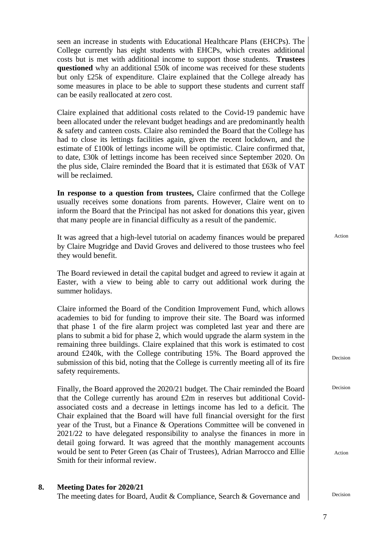seen an increase in students with Educational Healthcare Plans (EHCPs). The College currently has eight students with EHCPs, which creates additional costs but is met with additional income to support those students. **Trustees questioned** why an additional £50k of income was received for these students but only £25k of expenditure. Claire explained that the College already has some measures in place to be able to support these students and current staff can be easily reallocated at zero cost.

Claire explained that additional costs related to the Covid-19 pandemic have been allocated under the relevant budget headings and are predominantly health & safety and canteen costs. Claire also reminded the Board that the College has had to close its lettings facilities again, given the recent lockdown, and the estimate of £100k of lettings income will be optimistic. Claire confirmed that, to date, £30k of lettings income has been received since September 2020. On the plus side, Claire reminded the Board that it is estimated that £63k of VAT will be reclaimed.

**In response to a question from trustees,** Claire confirmed that the College usually receives some donations from parents. However, Claire went on to inform the Board that the Principal has not asked for donations this year, given that many people are in financial difficulty as a result of the pandemic.

It was agreed that a high-level tutorial on academy finances would be prepared by Claire Mugridge and David Groves and delivered to those trustees who feel they would benefit.

The Board reviewed in detail the capital budget and agreed to review it again at Easter, with a view to being able to carry out additional work during the summer holidays.

Claire informed the Board of the Condition Improvement Fund, which allows academies to bid for funding to improve their site. The Board was informed that phase 1 of the fire alarm project was completed last year and there are plans to submit a bid for phase 2, which would upgrade the alarm system in the remaining three buildings. Claire explained that this work is estimated to cost around £240k, with the College contributing 15%. The Board approved the submission of this bid, noting that the College is currently meeting all of its fire safety requirements.

Finally, the Board approved the 2020/21 budget. The Chair reminded the Board that the College currently has around £2m in reserves but additional Covidassociated costs and a decrease in lettings income has led to a deficit. The Chair explained that the Board will have full financial oversight for the first year of the Trust, but a Finance & Operations Committee will be convened in 2021/22 to have delegated responsibility to analyse the finances in more in detail going forward. It was agreed that the monthly management accounts would be sent to Peter Green (as Chair of Trustees), Adrian Marrocco and Ellie Smith for their informal review.

#### **8. Meeting Dates for 2020/21**

The meeting dates for Board, Audit & Compliance, Search & Governance and  $\vert$  Decision

Action

Decision

Decision

Action